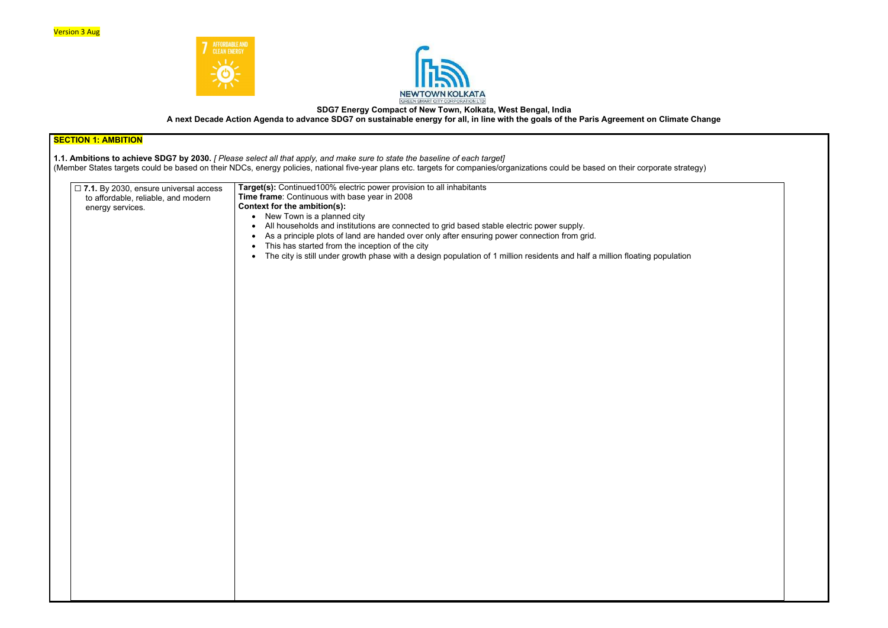



# SDG7 Energy Compact of New Town, Kolkata, West Bengal, India A next Decade Action Agenda to advance SDG7 on sustainable energy for all, in line with the goals of the Paris Agreement on Climate Change

| <b>SECTION 1: AMBITION</b>                                                                                                                                                                                                                                                                                                                                                                                                                                                                                                                                                                                               |  |  |
|--------------------------------------------------------------------------------------------------------------------------------------------------------------------------------------------------------------------------------------------------------------------------------------------------------------------------------------------------------------------------------------------------------------------------------------------------------------------------------------------------------------------------------------------------------------------------------------------------------------------------|--|--|
| 1.1. Ambitions to achieve SDG7 by 2030. [ Please select all that apply, and make sure to state the baseline of each target]<br>(Member States targets could be based on their NDCs, energy policies, national five-year plans etc. targets for companies/organizations could be based on their corporate strategy)                                                                                                                                                                                                                                                                                                       |  |  |
| Target(s): Continued100% electric power provision to all inhabitants<br>Time frame: Continuous with base year in 2008<br>Context for the ambition(s):<br>• New Town is a planned city<br>All households and institutions are connected to grid based stable electric power supply.<br>$\bullet$<br>As a principle plots of land are handed over only after ensuring power connection from grid.<br>$\bullet$<br>This has started from the inception of the city<br>$\bullet$<br>The city is still under growth phase with a design population of 1 million residents and half a million floating population<br>$\bullet$ |  |  |
|                                                                                                                                                                                                                                                                                                                                                                                                                                                                                                                                                                                                                          |  |  |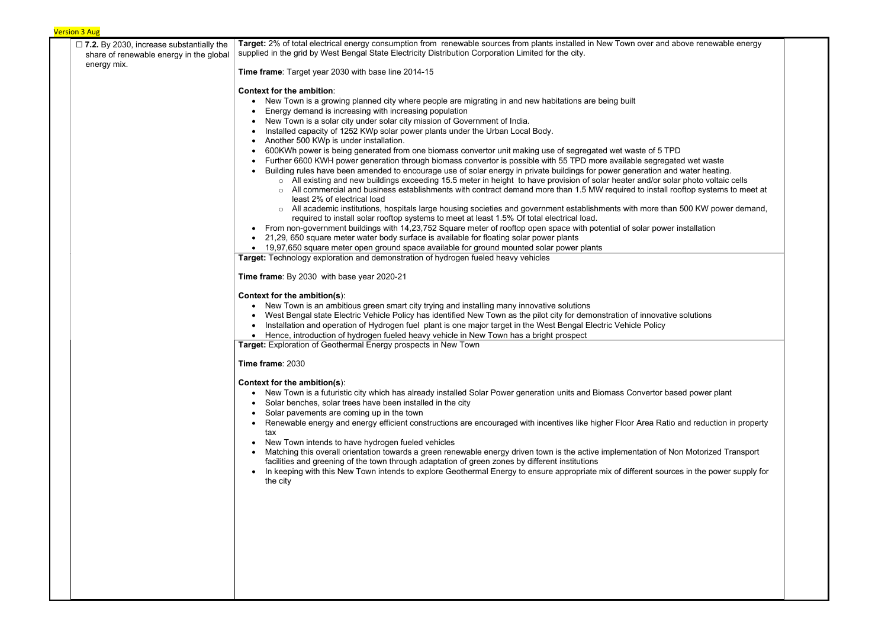| $\Box$ 7.2. By 2030, increase substantially the<br>share of renewable energy in the global | Target: 2% of total electrical energy consumption from renewable sources from plants installed in New Town over and above renewable energy<br>supplied in the grid by West Bengal State Electricity Distribution Corporation Limited for the city.                                                                                                                                                                                                                                                                                                                                                                                                                                                                                                                                                                                                                                                                                                                                                                                                                                                                                                                                                                                                                                                                                                                                                                                                                                                                                                                                            |
|--------------------------------------------------------------------------------------------|-----------------------------------------------------------------------------------------------------------------------------------------------------------------------------------------------------------------------------------------------------------------------------------------------------------------------------------------------------------------------------------------------------------------------------------------------------------------------------------------------------------------------------------------------------------------------------------------------------------------------------------------------------------------------------------------------------------------------------------------------------------------------------------------------------------------------------------------------------------------------------------------------------------------------------------------------------------------------------------------------------------------------------------------------------------------------------------------------------------------------------------------------------------------------------------------------------------------------------------------------------------------------------------------------------------------------------------------------------------------------------------------------------------------------------------------------------------------------------------------------------------------------------------------------------------------------------------------------|
| energy mix.                                                                                | Time frame: Target year 2030 with base line 2014-15                                                                                                                                                                                                                                                                                                                                                                                                                                                                                                                                                                                                                                                                                                                                                                                                                                                                                                                                                                                                                                                                                                                                                                                                                                                                                                                                                                                                                                                                                                                                           |
|                                                                                            | <b>Context for the ambition:</b><br>New Town is a growing planned city where people are migrating in and new habitations are being built<br>Energy demand is increasing with increasing population<br>New Town is a solar city under solar city mission of Government of India.<br>Installed capacity of 1252 KWp solar power plants under the Urban Local Body.<br>$\bullet$<br>Another 500 KWp is under installation.<br>$\bullet$<br>600KWh power is being generated from one biomass convertor unit making use of segregated wet waste of 5 TPD<br>Further 6600 KWH power generation through biomass convertor is possible with 55 TPD more available segregated wet waste<br>Building rules have been amended to encourage use of solar energy in private buildings for power generation and water heating.<br>o All existing and new buildings exceeding 15.5 meter in height to have provision of solar heater and/or solar photo voltaic cells<br>All commercial and business establishments with contract demand more than 1.5 MW required to install rooftop systems to meet at<br>least 2% of electrical load<br>All academic institutions, hospitals large housing societies and government establishments with more than 500 KW power demand,<br>required to install solar rooftop systems to meet at least 1.5% Of total electrical load.<br>From non-government buildings with 14,23,752 Square meter of rooftop open space with potential of solar power installation<br>$\bullet$<br>21,29, 650 square meter water body surface is available for floating solar power plants |
|                                                                                            | 19,97,650 square meter open ground space available for ground mounted solar power plants<br>Target: Technology exploration and demonstration of hydrogen fueled heavy vehicles                                                                                                                                                                                                                                                                                                                                                                                                                                                                                                                                                                                                                                                                                                                                                                                                                                                                                                                                                                                                                                                                                                                                                                                                                                                                                                                                                                                                                |
|                                                                                            |                                                                                                                                                                                                                                                                                                                                                                                                                                                                                                                                                                                                                                                                                                                                                                                                                                                                                                                                                                                                                                                                                                                                                                                                                                                                                                                                                                                                                                                                                                                                                                                               |
|                                                                                            | Time frame: By 2030 with base year 2020-21                                                                                                                                                                                                                                                                                                                                                                                                                                                                                                                                                                                                                                                                                                                                                                                                                                                                                                                                                                                                                                                                                                                                                                                                                                                                                                                                                                                                                                                                                                                                                    |
|                                                                                            | Context for the ambition(s):<br>New Town is an ambitious green smart city trying and installing many innovative solutions<br>$\bullet$<br>West Bengal state Electric Vehicle Policy has identified New Town as the pilot city for demonstration of innovative solutions<br>Installation and operation of Hydrogen fuel plant is one major target in the West Bengal Electric Vehicle Policy<br>Hence, introduction of hydrogen fueled heavy vehicle in New Town has a bright prospect                                                                                                                                                                                                                                                                                                                                                                                                                                                                                                                                                                                                                                                                                                                                                                                                                                                                                                                                                                                                                                                                                                         |
|                                                                                            | Target: Exploration of Geothermal Energy prospects in New Town                                                                                                                                                                                                                                                                                                                                                                                                                                                                                                                                                                                                                                                                                                                                                                                                                                                                                                                                                                                                                                                                                                                                                                                                                                                                                                                                                                                                                                                                                                                                |
|                                                                                            | Time frame: 2030                                                                                                                                                                                                                                                                                                                                                                                                                                                                                                                                                                                                                                                                                                                                                                                                                                                                                                                                                                                                                                                                                                                                                                                                                                                                                                                                                                                                                                                                                                                                                                              |
|                                                                                            | Context for the ambition(s):<br>New Town is a futuristic city which has already installed Solar Power generation units and Biomass Convertor based power plant<br>$\bullet$<br>Solar benches, solar trees have been installed in the city<br>Solar pavements are coming up in the town<br>Renewable energy and energy efficient constructions are encouraged with incentives like higher Floor Area Ratio and reduction in property<br>tax<br>New Town intends to have hydrogen fueled vehicles<br>$\bullet$<br>Matching this overall orientation towards a green renewable energy driven town is the active implementation of Non Motorized Transport<br>facilities and greening of the town through adaptation of green zones by different institutions<br>In keeping with this New Town intends to explore Geothermal Energy to ensure appropriate mix of different sources in the power supply for<br>$\bullet$<br>the city                                                                                                                                                                                                                                                                                                                                                                                                                                                                                                                                                                                                                                                               |
|                                                                                            |                                                                                                                                                                                                                                                                                                                                                                                                                                                                                                                                                                                                                                                                                                                                                                                                                                                                                                                                                                                                                                                                                                                                                                                                                                                                                                                                                                                                                                                                                                                                                                                               |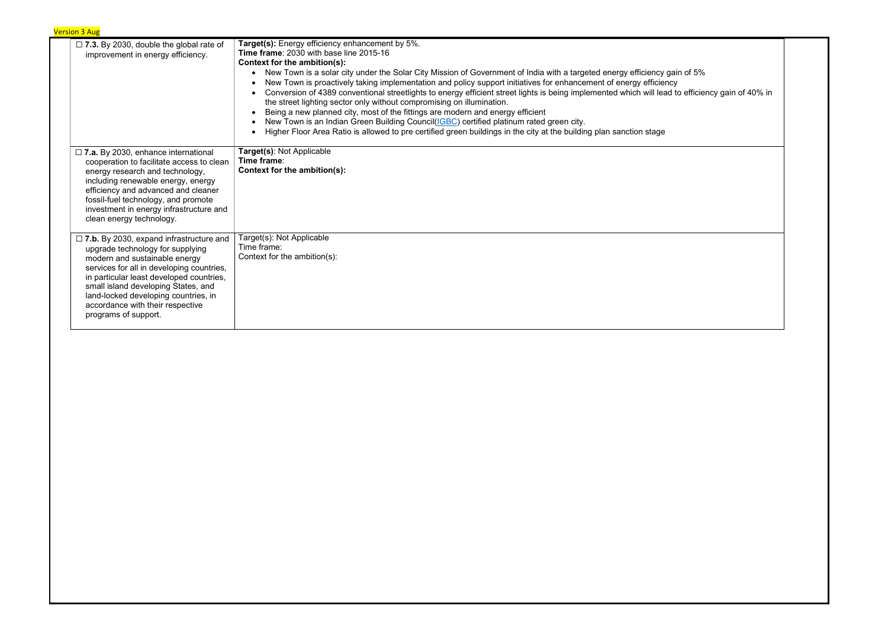Conversion of 4389 conventional streetlights to energy efficient street lights is being implemented which will lead to efficiency gain of 40% in

| $\square$ 7.3. By 2030, double the global rate of<br>improvement in energy efficiency.                                                                                                                                                                                                                                                                  | <b>Target(s):</b> Energy efficiency enhancement by 5%.<br>Time frame: 2030 with base line 2015-16<br>Context for the ambition(s):<br>New Town is a solar city under the Solar City Mission of Government of India with a targeted energy efficiency gain of 5%<br>$\bullet$<br>New Town is proactively taking implementation and policy support initiatives for enhancement of energy efficiency<br>Conversion of 4389 conventional streetlights to energy efficient street lights is being implemented which will lead to efficier<br>the street lighting sector only without compromising on illumination.<br>Being a new planned city, most of the fittings are modern and energy efficient<br>New Town is an Indian Green Building Council(IGBC) certified platinum rated green city.<br>Higher Floor Area Ratio is allowed to pre certified green buildings in the city at the building plan sanction stage |
|---------------------------------------------------------------------------------------------------------------------------------------------------------------------------------------------------------------------------------------------------------------------------------------------------------------------------------------------------------|------------------------------------------------------------------------------------------------------------------------------------------------------------------------------------------------------------------------------------------------------------------------------------------------------------------------------------------------------------------------------------------------------------------------------------------------------------------------------------------------------------------------------------------------------------------------------------------------------------------------------------------------------------------------------------------------------------------------------------------------------------------------------------------------------------------------------------------------------------------------------------------------------------------|
| $\Box$ 7.a. By 2030, enhance international<br>cooperation to facilitate access to clean<br>energy research and technology,<br>including renewable energy, energy<br>efficiency and advanced and cleaner<br>fossil-fuel technology, and promote<br>investment in energy infrastructure and<br>clean energy technology.                                   | Target(s): Not Applicable<br>Time frame:<br>Context for the ambition(s):                                                                                                                                                                                                                                                                                                                                                                                                                                                                                                                                                                                                                                                                                                                                                                                                                                         |
| $\Box$ 7.b. By 2030, expand infrastructure and<br>upgrade technology for supplying<br>modern and sustainable energy<br>services for all in developing countries,<br>in particular least developed countries,<br>small island developing States, and<br>land-locked developing countries, in<br>accordance with their respective<br>programs of support. | Target(s): Not Applicable<br>Time frame:<br>Context for the ambition(s):                                                                                                                                                                                                                                                                                                                                                                                                                                                                                                                                                                                                                                                                                                                                                                                                                                         |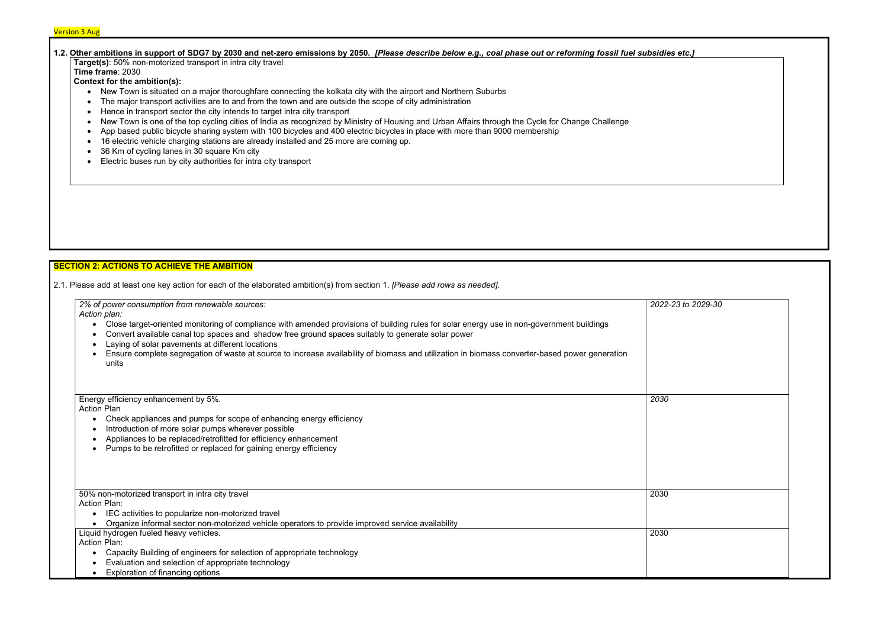# 1.2. Other ambitions in support of SDG7 by 2030 and net-zero emissions by 2050. [Please describe below e.g., coal phase out or reforming fossil fuel subsidies etc.] Target(s): 50% non-motorized transport in intra city travel

Time frame: 2030

Context for the ambition(s):

- New Town is situated on a major thoroughfare connecting the kolkata city with the airport and Northern Suburbs
- The major transport activities are to and from the town and are outside the scope of city administration
- Hence in transport sector the city intends to target intra city transport
- New Town is one of the top cycling cities of India as recognized by Ministry of Housing and Urban Affairs through the Cycle for Change Challenge
- App based public bicycle sharing system with 100 bicycles and 400 electric bicycles in place with more than 9000 membership
- 16 electric vehicle charging stations are already installed and 25 more are coming up.
- 36 Km of cycling lanes in 30 square Km city
- Electric buses run by city authorities for intra city transport

# SECTION 2: ACTIONS TO ACHIEVE THE AMBITION

2.1. Please add at least one key action for each of the elaborated ambition(s) from section 1. [Please add rows as needed].



| 2% of power consumption from renewable sources:<br>Action plan:                                                                                                                                                                                                                                                                                                                                                                                                                         | 2022- |
|-----------------------------------------------------------------------------------------------------------------------------------------------------------------------------------------------------------------------------------------------------------------------------------------------------------------------------------------------------------------------------------------------------------------------------------------------------------------------------------------|-------|
| Close target-oriented monitoring of compliance with amended provisions of building rules for solar energy use in non-government buildings<br>$\bullet$<br>Convert available canal top spaces and shadow free ground spaces suitably to generate solar power<br>Laying of solar pavements at different locations<br>$\bullet$<br>Ensure complete segregation of waste at source to increase availability of biomass and utilization in biomass converter-based power generation<br>units |       |
| Energy efficiency enhancement by 5%.                                                                                                                                                                                                                                                                                                                                                                                                                                                    | 2030  |
| <b>Action Plan</b><br>Check appliances and pumps for scope of enhancing energy efficiency<br>$\bullet$                                                                                                                                                                                                                                                                                                                                                                                  |       |
| Introduction of more solar pumps wherever possible<br>$\bullet$                                                                                                                                                                                                                                                                                                                                                                                                                         |       |
| Appliances to be replaced/retrofitted for efficiency enhancement<br>$\bullet$                                                                                                                                                                                                                                                                                                                                                                                                           |       |
| Pumps to be retrofitted or replaced for gaining energy efficiency<br>$\bullet$                                                                                                                                                                                                                                                                                                                                                                                                          |       |
| 50% non-motorized transport in intra city travel                                                                                                                                                                                                                                                                                                                                                                                                                                        | 2030  |
| <b>Action Plan:</b>                                                                                                                                                                                                                                                                                                                                                                                                                                                                     |       |
| IEC activities to popularize non-motorized travel<br>$\bullet$                                                                                                                                                                                                                                                                                                                                                                                                                          |       |
| Organize informal sector non-motorized vehicle operators to provide improved service availability<br>$\bullet$<br>Liquid hydrogen fueled heavy vehicles.                                                                                                                                                                                                                                                                                                                                | 2030  |
| <b>Action Plan:</b>                                                                                                                                                                                                                                                                                                                                                                                                                                                                     |       |
| Capacity Building of engineers for selection of appropriate technology<br>$\bullet$                                                                                                                                                                                                                                                                                                                                                                                                     |       |
| Evaluation and selection of appropriate technology                                                                                                                                                                                                                                                                                                                                                                                                                                      |       |
| Exploration of financing options<br>$\bullet$                                                                                                                                                                                                                                                                                                                                                                                                                                           |       |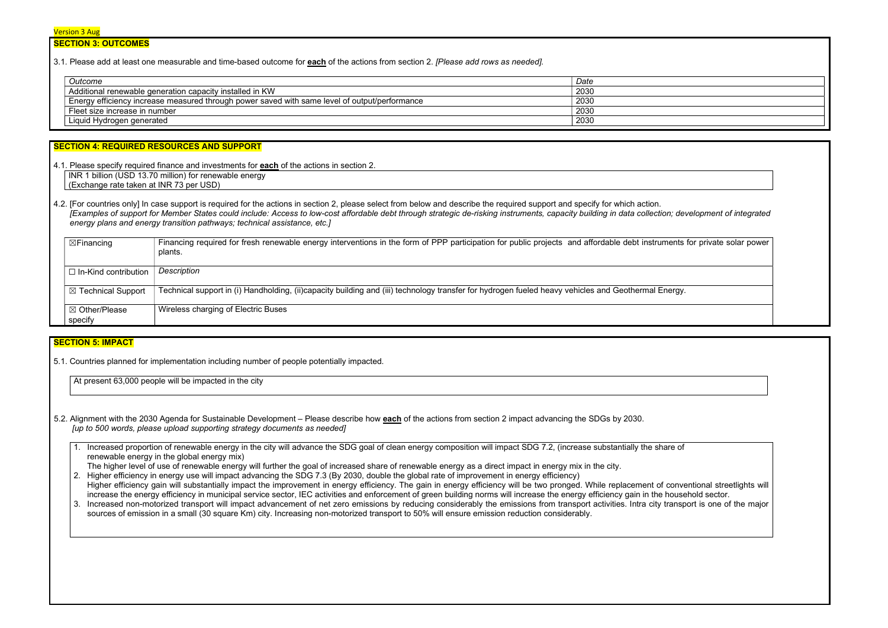# SECTION 3: OUTCOMES

3.1. Please add at least one measurable and time-based outcome for each of the actions from section 2. *IPlease add rows as needed]*.

| Outcome                                                                                       | Date |
|-----------------------------------------------------------------------------------------------|------|
| Additional renewable generation capacity installed in KW                                      | 2030 |
| Energy efficiency increase measured through power saved with same level of output/performance | 2030 |
| Fleet size increase in number                                                                 | 2030 |
| Liquid Hydrogen generated                                                                     | 2030 |

#### SECTION 4: REQUIRED RESOURCES AND SUPPORT

4.1. Please specify required finance and investments for **each** of the actions in section 2.

4.2. [For countries only] In case support is required for the actions in section 2, please select from below and describe the required support and specify for which action. [Examples of support for Member States could include: Access to low-cost affordable debt through strategic de-risking instruments, capacity building in data collection; development of integrated energy plans and energy transition pathways; technical assistance, etc.]

INR 1 billion (USD 13.70 million) for renewable energy (Exchange rate taken at INR 73 per USD)

| $\boxtimes$ Financing       | Financing required for fresh renewable energy interventions in the form of PPP participation for public projects and affordable debt instruments f<br>plants. |
|-----------------------------|---------------------------------------------------------------------------------------------------------------------------------------------------------------|
| $\Box$ In-Kind contribution | Description                                                                                                                                                   |
| ⊠ Technical Support         | Technical support in (i) Handholding, (ii)capacity building and (iii) technology transfer for hydrogen fueled heavy vehicles and Geothermal Energy.           |
| ⊠ Other/Please<br>specify   | Wireless charging of Electric Buses                                                                                                                           |

# **SECTION 5: IMPACT**

5.1. Countries planned for implementation including number of people potentially impacted.

At present 63,000 people will be impacted in the city

- 5.2. Alignment with the 2030 Agenda for Sustainable Development Please describe how each of the actions from section 2 impact advancing the SDGs by 2030. [up to 500 words, please upload supporting strategy documents as needed]
	- 1. Increased proportion of renewable energy in the city will advance the SDG goal of clean energy composition will impact SDG 7.2, (increase substantially the share of renewable energy in the global energy mix)
	- The higher level of use of renewable energy will further the goal of increased share of renewable energy as a direct impact in energy mix in the city.
	- 2. Higher efficiency in energy use will impact advancing the SDG 7.3 (By 2030, double the global rate of improvement in energy efficiency) Higher efficiency gain will substantially impact the improvement in energy efficiency. The gain in energy efficiency will be two pronged. While replacement of conventional streetlights will increase the energy efficiency in municipal service sector, IEC activities and enforcement of green building norms will increase the energy efficiency gain in the household sector.
	- 3. Increased non-motorized transport will impact advancement of net zero emissions by reducing considerably the emissions from transport activities. Intra city transport is one of the major sources of emission in a small (30 square Km) city. Increasing non-motorized transport to 50% will ensure emission reduction considerably.

ents for private solar power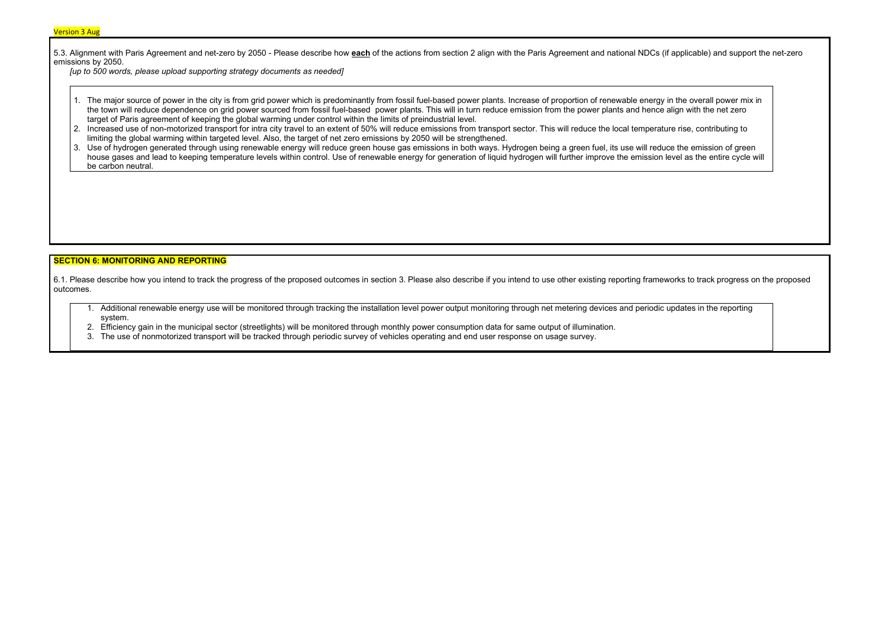5.3. Alignment with Paris Agreement and net-zero by 2050 - Please describe how **each** of the actions from section 2 align with the Paris Agreement and national NDCs (if applicable) and support the net-zero emissions by 2050.

[up to 500 words, please upload supporting strategy documents as needed]

- 1. The major source of power in the city is from grid power which is predominantly from fossil fuel-based power plants. Increase of proportion of renewable energy in the overall power mix in the town will reduce dependence on grid power sourced from fossil fuel-based power plants. This will in turn reduce emission from the power plants and hence align with the net zero target of Paris agreement of keeping the global warming under control within the limits of preindustrial level.
- 2. Increased use of non-motorized transport for intra city travel to an extent of 50% will reduce emissions from transport sector. This will reduce the local temperature rise, contributing to limiting the global warming within targeted level. Also, the target of net zero emissions by 2050 will be strengthened.
- 3. Use of hydrogen generated through using renewable energy will reduce green house gas emissions in both ways. Hydrogen being a green fuel, its use will reduce the emission of green house gases and lead to keeping temperature levels within control. Use of renewable energy for generation of liquid hydrogen will further improve the emission level as the entire cycle will be carbon neutral.

### SECTION 6: MONITORING AND REPORTING

6.1. Please describe how you intend to track the progress of the proposed outcomes in section 3. Please also describe if you intend to use other existing reporting frameworks to track progress on the proposed outcomes.

- 1. Additional renewable energy use will be monitored through tracking the installation level power output monitoring through net metering devices and periodic updates in the reporting system.
- 2. Efficiency gain in the municipal sector (streetlights) will be monitored through monthly power consumption data for same output of illumination.
- 3. The use of nonmotorized transport will be tracked through periodic survey of vehicles operating and end user response on usage survey.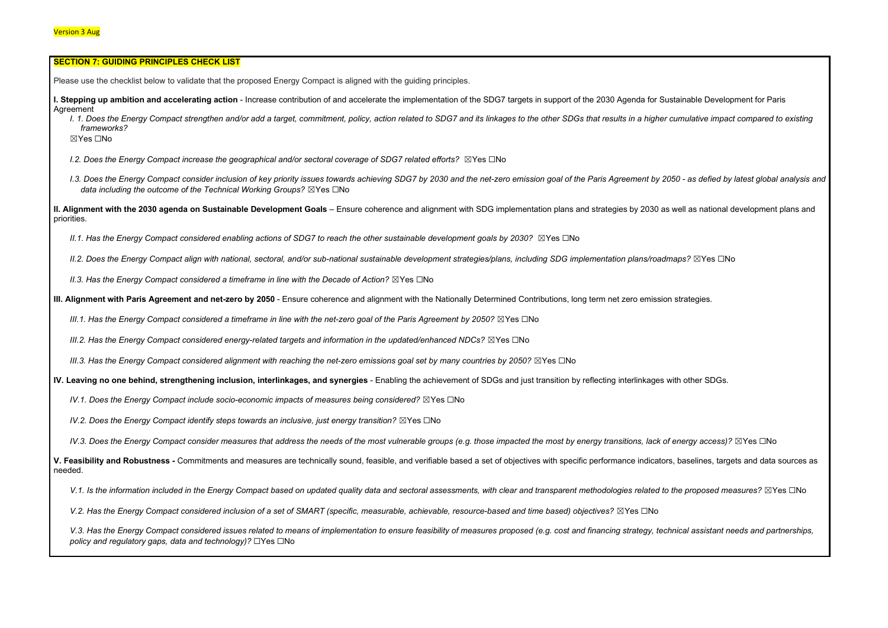| <b>SECTION 7: GUIDING PRINCIPLES CHECK LIST</b>                                                                                                                                                                                                                                |
|--------------------------------------------------------------------------------------------------------------------------------------------------------------------------------------------------------------------------------------------------------------------------------|
| Please use the checklist below to validate that the proposed Energy Compact is aligned with the guiding principles.                                                                                                                                                            |
| I. Stepping up ambition and accelerating action - Increase contribution of and accelerate the implementation of the SDG7 targets in support of the 2030 Agenda for Sustainable Developr<br>Agreement                                                                           |
| I. 1. Does the Energy Compact strengthen and/or add a target, commitment, policy, action related to SDG7 and its linkages to the other SDGs that results in a higher cumulative impact<br>frameworks?<br>⊠Yes □No                                                              |
| I.2. Does the Energy Compact increase the geographical and/or sectoral coverage of SDG7 related efforts? $\boxtimes$ Yes $\Box$ No                                                                                                                                             |
| 1.3. Does the Energy Compact consider inclusion of key priority issues towards achieving SDG7 by 2030 and the net-zero emission goal of the Paris Agreement by 2050 - as defied by la<br>data including the outcome of the Technical Working Groups? $\boxtimes$ Yes $\Box$ No |
| II. Alignment with the 2030 agenda on Sustainable Development Goals - Ensure coherence and alignment with SDG implementation plans and strategies by 2030 as well as national de<br>priorities.                                                                                |
| II.1. Has the Energy Compact considered enabling actions of SDG7 to reach the other sustainable development goals by 2030? ⊠Yes □No                                                                                                                                            |
| II.2. Does the Energy Compact align with national, sectoral, and/or sub-national sustainable development strategies/plans, including SDG implementation plans/roadmaps? ⊠Yes □No                                                                                               |
| II.3. Has the Energy Compact considered a timeframe in line with the Decade of Action? $\boxtimes$ Yes $\Box$ No                                                                                                                                                               |
| III. Alignment with Paris Agreement and net-zero by 2050 - Ensure coherence and alignment with the Nationally Determined Contributions, long term net zero emission strategies.                                                                                                |
| III.1. Has the Energy Compact considered a timeframe in line with the net-zero goal of the Paris Agreement by 2050? $\boxtimes$ Yes $\Box$ No                                                                                                                                  |
| III.2. Has the Energy Compact considered energy-related targets and information in the updated/enhanced NDCs? ⊠Yes □No                                                                                                                                                         |
| III.3. Has the Energy Compact considered alignment with reaching the net-zero emissions goal set by many countries by 2050? $\boxtimes$ Yes $\Box$ No                                                                                                                          |
| IV. Leaving no one behind, strengthening inclusion, interlinkages, and synergies - Enabling the achievement of SDGs and just transition by reflecting interlinkages with other SDGs.                                                                                           |
| IV.1. Does the Energy Compact include socio-economic impacts of measures being considered? $\boxtimes$ Yes $\Box$ No                                                                                                                                                           |
| IV.2. Does the Energy Compact identify steps towards an inclusive, just energy transition? $\boxtimes$ Yes $\Box$ No                                                                                                                                                           |
| IV.3. Does the Energy Compact consider measures that address the needs of the most vulnerable groups (e.g. those impacted the most by energy transitions, lack of energy access)?                                                                                              |
| V. Feasibility and Robustness - Commitments and measures are technically sound, feasible, and verifiable based a set of objectives with specific performance indicators, baselines, target<br>needed.                                                                          |
| V.1. Is the information included in the Energy Compact based on updated quality data and sectoral assessments, with clear and transparent methodologies related to the proposed mea                                                                                            |
| V.2. Has the Energy Compact considered inclusion of a set of SMART (specific, measurable, achievable, resource-based and time based) objectives? ⊠Yes □No                                                                                                                      |
| V.3. Has the Energy Compact considered issues related to means of implementation to ensure feasibility of measures proposed (e.g. cost and financing strategy, technical assistant nee<br>policy and regulatory gaps, data and technology)? □Yes □No                           |

ainable Development for Paris I. I. I. Does the Energian and a target and a target, compared to existing its lings and its linkages to the o I.3. Does the Energy consider inclusion of achieving and the net-zero energinal stoward and the net-zero emission and the net-zero emission goal of the Paris Agreement By 2010 - as definition and analysis and supersion ana vell as national development plans and  $\overline{\phantom{a}}$  $energy$  access)?  $\boxtimes$ Yes  $\Box$ No baselines, targets and data sources as  $\alpha$ e proposed measures? ⊠Yes  $\Box$ No ical assistant needs and partnerships,